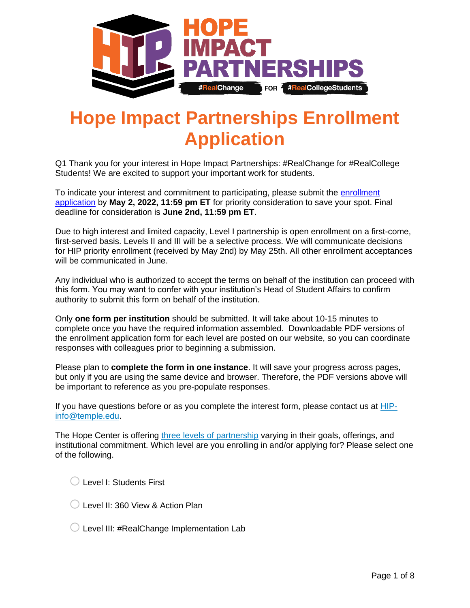

## **Hope Impact Partnerships Enrollment Application**

Q1 Thank you for your interest in Hope Impact Partnerships: #RealChange for #RealCollege Students! We are excited to support your important work for students.

To indicate your interest and commitment to participating, please submit the [enrollment](https://hope4college.iad1.qualtrics.com/jfe/form/SV_3aTzAS0vQkzTYEe)  [application](https://hope4college.iad1.qualtrics.com/jfe/form/SV_3aTzAS0vQkzTYEe) by **May 2, 2022, 11:59 pm ET** for priority consideration to save your spot. Final deadline for consideration is **June 2nd, 11:59 pm ET**.

Due to high interest and limited capacity, Level I partnership is open enrollment on a first-come, first-served basis. Levels II and III will be a selective process. We will communicate decisions for HIP priority enrollment (received by May 2nd) by May 25th. All other enrollment acceptances will be communicated in June.

Any individual who is authorized to accept the terms on behalf of the institution can proceed with this form. You may want to confer with your institution's Head of Student Affairs to confirm authority to submit this form on behalf of the institution.

Only **one form per institution** should be submitted. It will take about 10-15 minutes to complete once you have the required information assembled. Downloadable PDF versions of the enrollment application form for each level are posted on our website, so you can coordinate responses with colleagues prior to beginning a submission.

Please plan to **complete the form in one instance**. It will save your progress across pages, but only if you are using the same device and browser. Therefore, the PDF versions above will be important to reference as you pre-populate responses.

If you have questions before or as you complete the interest form, please contact us at [HIP](mailto:HIP-info@temple.edu?subject=HIP%20Enrollment%20Application%20Query)[info@temple.edu.](mailto:HIP-info@temple.edu?subject=HIP%20Enrollment%20Application%20Query)

The Hope Center is offering [three levels of partnership](https://hope4college.com/hip/partnership-levels/) varying in their goals, offerings, and institutional commitment. Which level are you enrolling in and/or applying for? Please select one of the following.

 $\bigcirc$  Level I: Students First

- $\bigcirc$  Level II: 360 View & Action Plan
- $\bigcirc$  Level III: #RealChange Implementation Lab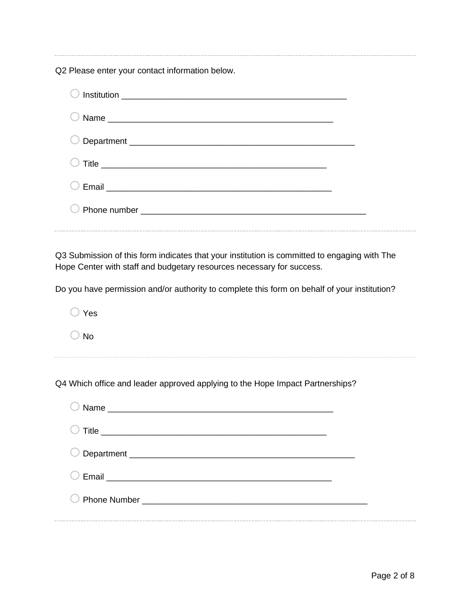Q2 Please enter your contact information below.

Q3 Submission of this form indicates that your institution is committed to engaging with The Hope Center with staff and budgetary resources necessary for success.

Do you have permission and/or authority to complete this form on behalf of your institution?

o Yes  $\bigcirc$  No Q4 Which office and leader approved applying to the Hope Impact Partnerships? o Name \_\_\_\_\_\_\_\_\_\_\_\_\_\_\_\_\_\_\_\_\_\_\_\_\_\_\_\_\_\_\_\_\_\_\_\_\_\_\_\_\_\_\_\_\_\_\_\_

| $\blacksquare$                                   |  |
|--------------------------------------------------|--|
|                                                  |  |
|                                                  |  |
| Email <u>___________________________________</u> |  |
|                                                  |  |
|                                                  |  |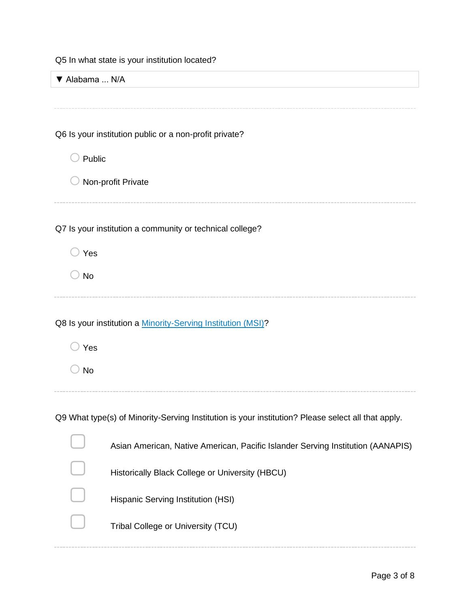Q5 In what state is your institution located?

| ▼ Alabama  N/A |                                                                                                    |
|----------------|----------------------------------------------------------------------------------------------------|
|                |                                                                                                    |
|                |                                                                                                    |
|                | Q6 Is your institution public or a non-profit private?                                             |
| Public         |                                                                                                    |
|                | Non-profit Private                                                                                 |
|                |                                                                                                    |
|                | Q7 Is your institution a community or technical college?                                           |
| Yes            |                                                                                                    |
| <b>No</b>      |                                                                                                    |
|                |                                                                                                    |
|                | Q8 Is your institution a Minority-Serving Institution (MSI)?                                       |
| Yes            |                                                                                                    |
| <b>No</b>      |                                                                                                    |
|                |                                                                                                    |
|                | Q9 What type(s) of Minority-Serving Institution is your institution? Please select all that apply. |
|                | Asian American, Native American, Pacific Islander Serving Institution (AANAPIS)                    |
|                | Historically Black College or University (HBCU)                                                    |
|                |                                                                                                    |
|                | Hispanic Serving Institution (HSI)                                                                 |
|                | Tribal College or University (TCU)                                                                 |
|                |                                                                                                    |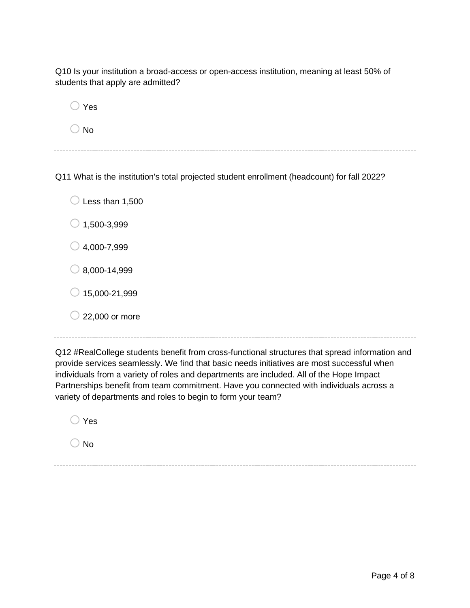Q10 Is your institution a broad-access or open-access institution, meaning at least 50% of students that apply are admitted?

 $\bigcirc$  Yes

 $\bigcirc$  No

Q11 What is the institution's total projected student enrollment (headcount) for fall 2022?

| $\cup$ Less than 1,500 |
|------------------------|
| $\bigcirc$ 1,500-3,999 |
|                        |

 $\bigcirc$  4,000-7,999

 $\bigcirc$  8,000-14,999

 $\bigcirc$  15,000-21,999

 $\bigcirc$  22,000 or more

Q12 #RealCollege students benefit from cross-functional structures that spread information and provide services seamlessly. We find that basic needs initiatives are most successful when individuals from a variety of roles and departments are included. All of the Hope Impact Partnerships benefit from team commitment. Have you connected with individuals across a variety of departments and roles to begin to form your team?

 $\bigcirc$  Yes

 $\bigcirc$  No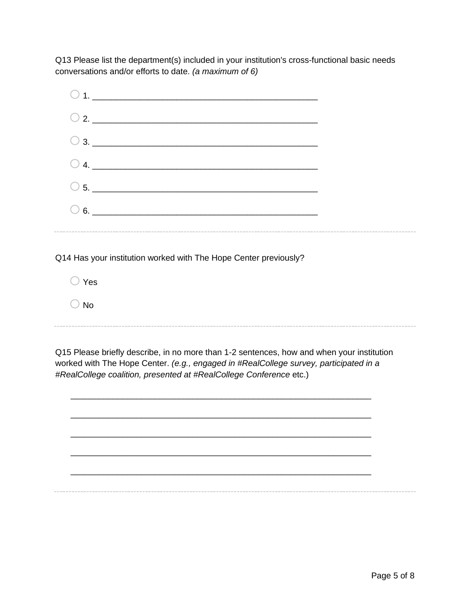Q13 Please list the department(s) included in your institution's cross-functional basic needs conversations and/or efforts to date. *(a maximum of 6)*



Q14 Has your institution worked with The Hope Center previously?

 $\bigcirc$  Yes  $\bigcirc$  No

Q15 Please briefly describe, in no more than 1-2 sentences, how and when your institution worked with The Hope Center. *(e.g., engaged in #RealCollege survey, participated in a #RealCollege coalition, presented at #RealCollege Conference* etc.)

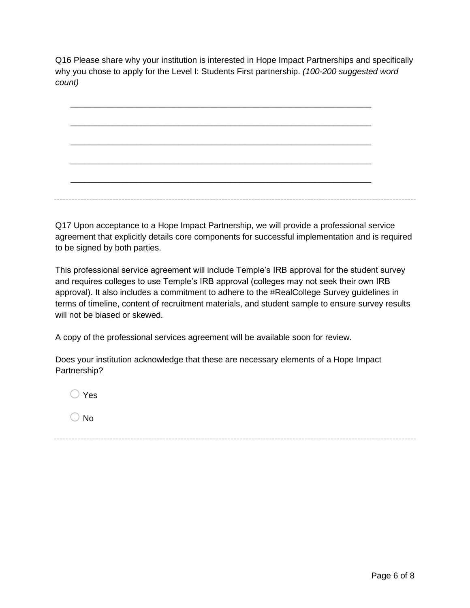Q16 Please share why your institution is interested in Hope Impact Partnerships and specifically why you chose to apply for the Level I: Students First partnership. *(100-200 suggested word count)*

\_\_\_\_\_\_\_\_\_\_\_\_\_\_\_\_\_\_\_\_\_\_\_\_\_\_\_\_\_\_\_\_\_\_\_\_\_\_\_\_\_\_\_\_\_\_\_\_\_\_\_\_\_\_\_\_\_\_\_\_\_\_\_\_ \_\_\_\_\_\_\_\_\_\_\_\_\_\_\_\_\_\_\_\_\_\_\_\_\_\_\_\_\_\_\_\_\_\_\_\_\_\_\_\_\_\_\_\_\_\_\_\_\_\_\_\_\_\_\_\_\_\_\_\_\_\_\_\_ \_\_\_\_\_\_\_\_\_\_\_\_\_\_\_\_\_\_\_\_\_\_\_\_\_\_\_\_\_\_\_\_\_\_\_\_\_\_\_\_\_\_\_\_\_\_\_\_\_\_\_\_\_\_\_\_\_\_\_\_\_\_\_\_ \_\_\_\_\_\_\_\_\_\_\_\_\_\_\_\_\_\_\_\_\_\_\_\_\_\_\_\_\_\_\_\_\_\_\_\_\_\_\_\_\_\_\_\_\_\_\_\_\_\_\_\_\_\_\_\_\_\_\_\_\_\_\_\_ \_\_\_\_\_\_\_\_\_\_\_\_\_\_\_\_\_\_\_\_\_\_\_\_\_\_\_\_\_\_\_\_\_\_\_\_\_\_\_\_\_\_\_\_\_\_\_\_\_\_\_\_\_\_\_\_\_\_\_\_\_\_\_\_

Q17 Upon acceptance to a Hope Impact Partnership, we will provide a professional service agreement that explicitly details core components for successful implementation and is required to be signed by both parties.

This professional service agreement will include Temple's IRB approval for the student survey and requires colleges to use Temple's IRB approval (colleges may not seek their own IRB approval). It also includes a commitment to adhere to the #RealCollege Survey guidelines in terms of timeline, content of recruitment materials, and student sample to ensure survey results will not be biased or skewed.

A copy of the professional services agreement will be available soon for review.

Does your institution acknowledge that these are necessary elements of a Hope Impact Partnership?

 $\bigcirc$  Yes

 $\bigcirc$  No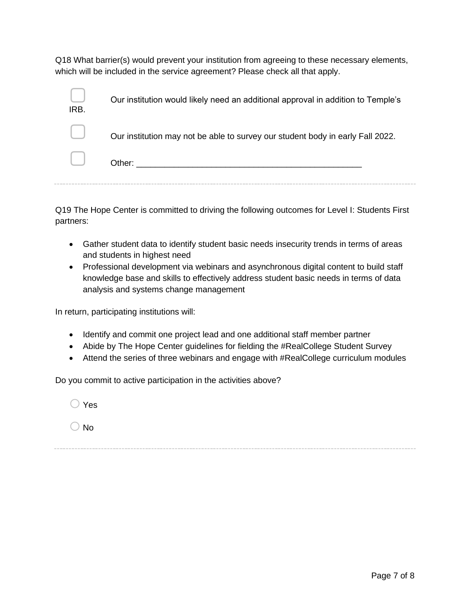Q18 What barrier(s) would prevent your institution from agreeing to these necessary elements, which will be included in the service agreement? Please check all that apply.

| IRB.   | Our institution would likely need an additional approval in addition to Temple's |
|--------|----------------------------------------------------------------------------------|
|        | Our institution may not be able to survey our student body in early Fall 2022.   |
| $\Box$ |                                                                                  |

Q19 The Hope Center is committed to driving the following outcomes for Level I: Students First partners:

- Gather student data to identify student basic needs insecurity trends in terms of areas and students in highest need
- Professional development via webinars and asynchronous digital content to build staff knowledge base and skills to effectively address student basic needs in terms of data analysis and systems change management

In return, participating institutions will:

- Identify and commit one project lead and one additional staff member partner
- Abide by The Hope Center guidelines for fielding the #RealCollege Student Survey
- Attend the series of three webinars and engage with #RealCollege curriculum modules

Do you commit to active participation in the activities above?

 $\bigcap$  Yes

 $\bigcirc$  No